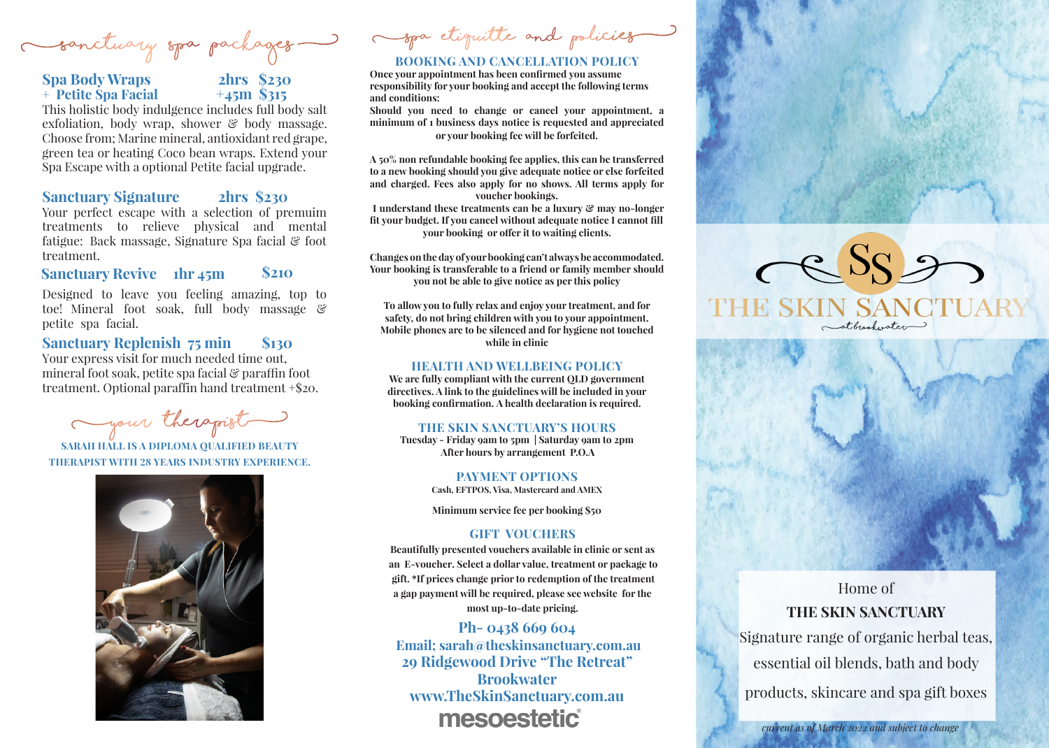**(Sanctuary Spa Packages )** 

## **Spa Body Wraps 2hrs \$230 + Petite Spa Facial +45m \$315**



This holistic body indulgence includes full body salt exfoliation, body wrap, shower  $\mathcal{C}$  body massage. Choose from; Marine mineral, antioxidant red grape, green tea or heating Coco bean wraps. Extend your Spa Escape with a optional Petite facial upgrade.

### **Sanctuary Signature 2hrs \$230**

Your perfect escape with a selection of premuim treatments to relieve physical and mental fatigue: Back massage, Signature Spa facial & foot treatment.

**Sanctuary Revive hr 45m \$210**

Designed to leave you feeling amazing, top to toe! Mineral foot soak, full body massage & petite spa facial.

**Sanctuary Replenish 75 min \$130** Your express visit for much needed time out,

mineral foot soak, petite spa facial & paraffin foot treatment. Optional paraffin hand treatment +\$20.

**(your therapist)**

**SARAH HALL IS A DIPLOMA QUALIFIED BEAUTY THERAPIST WITH 28 YEARS INDUSTRY EXPERIENCE.** 



**(spa etiquitte and policies)**

### **BOOKING AND CANCELLATION POLICY**

**Once your appointment has been confirmed you assume responsibility for your booking and accept the following terms and conditions:**

**Should you need to change or cancel your appointment, a minimum of 1 business days notice is requested and appreciated or your booking fee will be forfeited.** 

**A 50% non refundable booking fee applies, this can be transferred to a new booking should you give adequate notice or else forfeited and charged. Fees also apply for no shows. All terms apply for voucher bookings.**

**I understand these treatments can be a luxury & may no-longer fit your budget. If you cancel without adequate notice I cannot fill your booking or offer it to waiting clients.** 

**Changes on the day of your booking can't always be accommodated. Your booking is transferable to a friend or family member should you not be able to give notice as per this policy**

**To allow you to fully relax and enjoy your treatment, and for safety, do not bring children with you to your appointment. Mobile phones are to be silenced and for hygiene not touched while in clinic** 

#### **HEALTH AND WELLBEING POLICY**

**We are fully compliant with the current QLD government directives. A link to the guidelines will be included in your booking confirmation. A health declaration is required.**

#### **THE SKIN SANCTUARY'S HOURS**

**Tuesday - Friday 9am to 5pm | Saturday 9am to 2pm After hours by arrangement P.O.A**

> **PAYMENT OPTIONS Cash, EFTPOS, Visa, Mastercard and AMEX**

> **Minimum service fee per booking \$50**

#### **GIFT VOUCHERS**

**Beautifully presented vouchers available in clinic or sent as an E-voucher. Select a dollar value, treatment or package to gift. \*If prices change prior to redemption of the treatment a gap payment will be required, please see website for the most up-to-date pricing.**

## **Ph- 0438 669 604**

**Email; sarah@theskinsanctuary.com.au 29 Ridgewood Drive "The Retreat" Brookwater www.TheSkinSanctuary.com.au** mesoestetic



atbrookwater



Home of **THE SKIN SANCTUARY**

Signature range of organic herbal teas, essential oil blends, bath and body products, skincare and spa gift boxes